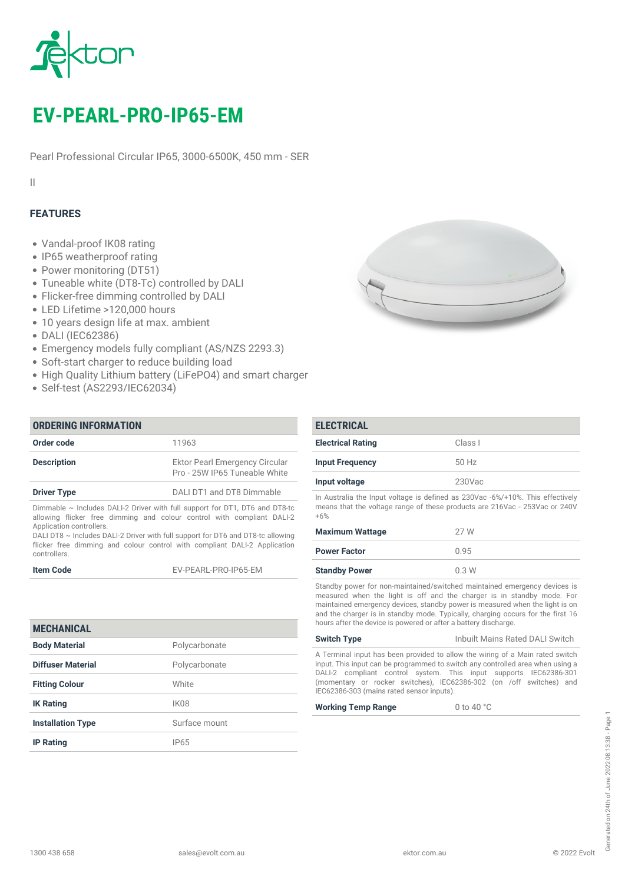

# *EV-PEARL-PRO-IP65-EM*

*Pearl Professional Circular IP65, 3000-6500K, 450 mm - SER*

*II*

# *FEATURES*

- *Vandal-proof IK08 rating*
- *IP65 weatherproof rating*
- *Power monitoring (DT51)*
- *Tuneable white (DT8-Tc) controlled by DALI*
- *Flicker-free dimming controlled by DALI*
- *LED Lifetime >120,000 hours*
- *10 years design life at max. ambient*
- *DALI (IEC62386)*
- *Emergency models fully compliant (AS/NZS 2293.3)*
- *Soft-start charger to reduce building load*
- *High Quality Lithium battery (LiFePO4) and smart charger*
- *Self-test (AS2293/IEC62034)*

| <b>ORDERING INFORMATION</b>                                                                                                                                |                                                                        |
|------------------------------------------------------------------------------------------------------------------------------------------------------------|------------------------------------------------------------------------|
| Order code                                                                                                                                                 | 11963                                                                  |
| <b>Description</b>                                                                                                                                         | <b>Ektor Pearl Emergency Circular</b><br>Pro - 25W IP65 Tuneable White |
| <b>Driver Type</b>                                                                                                                                         | DALI DT1 and DT8 Dimmable                                              |
| Dimmable $\sim$ Includes DALI-2 Driver with full support for DT1, DT6 and DT8-tc<br>allowing flicker free dimming and colour control with compliant DALI-2 |                                                                        |

*allowing flicker free dimming and colour control with compliant DALI-2 Application controllers.*

*DALI DT8 ~ Includes DALI-2 Driver with full support for DT6 and DT8-tc allowing flicker free dimming and colour control with compliant DALI-2 Application controllers.*

*Item Code EV-PEARL-PRO-IP65-EM*

| <b>MECHANICAL</b>        |               |
|--------------------------|---------------|
| <b>Body Material</b>     | Polycarbonate |
| Diffuser Material        | Polycarbonate |
| <b>Fitting Colour</b>    | White         |
| <b>IK Rating</b>         | IK08          |
| <b>Installation Type</b> | Surface mount |
| <b>IP Rating</b>         | <b>IP65</b>   |



| <b>ELECTRICAL</b>        |           |
|--------------------------|-----------|
| <b>Electrical Rating</b> | Class I   |
| <b>Input Frequency</b>   | $50$ Hz   |
| Input voltage            | $230$ Vac |

*In Australia the Input voltage is defined as 230Vac -6%/+10%. This effectively means that the voltage range of these products are 216Vac - 253Vac or 240V +6%*

| <b>Maximum Wattage</b> | 27 W |
|------------------------|------|
| <b>Power Factor</b>    | 0.95 |
| <b>Standby Power</b>   | 0.3W |

*Standby power for non-maintained/switched maintained emergency devices is measured when the light is off and the charger is in standby mode. For maintained emergency devices, standby power is measured when the light is on and the charger is in standby mode. Typically, charging occurs for the first 16 hours after the device is powered or after a battery discharge.*

| <b>Switch Type</b>                                                             | Inbuilt Mains Rated DALI Switch |
|--------------------------------------------------------------------------------|---------------------------------|
| A Terminal input has been provided to allow the wiring of a Main rated switch  |                                 |
| input. This input can be programmed to switch any controlled area when using a |                                 |

*input. This input can be programmed to switch any controlled area when using a DALI-2 compliant control system. This input supports IEC62386-301 (momentary or rocker switches), IEC62386-302 (on /off switches) and IEC62386-303 (mains rated sensor inputs).*

*Working Temp Range 0 to 40 °C*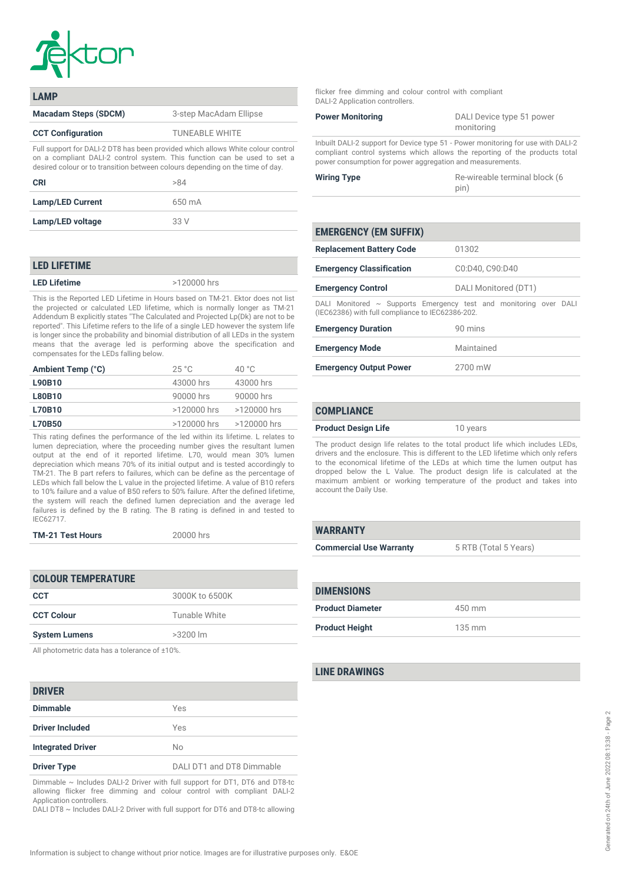

| I AMP                                                                                                                                                                                                                                        |                        |
|----------------------------------------------------------------------------------------------------------------------------------------------------------------------------------------------------------------------------------------------|------------------------|
| <b>Macadam Steps (SDCM)</b>                                                                                                                                                                                                                  | 3-step MacAdam Ellipse |
| <b>CCT Configuration</b>                                                                                                                                                                                                                     | <b>TUNEABLE WHITE</b>  |
| Full support for DALI-2 DT8 has been provided which allows White colour control<br>on a compliant DALI-2 control system. This function can be used to set a<br>desired colour or to transition between colours depending on the time of day. |                        |

| CRI                     | >84    |
|-------------------------|--------|
| <b>Lamp/LED Current</b> | 650 mA |
| Lamp/LED voltage        | 33 V   |

### *LED LIFETIME*

*LED Lifetime >120000 hrs*

*This is the Reported LED Lifetime in Hours based on TM-21. Ektor does not list the projected or calculated LED lifetime, which is normally longer as TM-21 Addendum B explicitly states "The Calculated and Projected Lp(Dk) are not to be reported". This Lifetime refers to the life of a single LED however the system life is longer since the probability and binomial distribution of all LEDs in the system means that the average led is performing above the specification and compensates for the LEDs falling below.*

| Ambient Temp (°C) | 25 °C         | 40 °C       |
|-------------------|---------------|-------------|
| L90B10            | 43000 hrs     | 43000 hrs   |
| <b>L80B10</b>     | 90000 hrs     | 90000 hrs   |
| <b>L70B10</b>     | >120000 hrs   | >120000 hrs |
| <b>L70B50</b>     | $>120000$ hrs | >120000 hrs |
|                   |               |             |

*This rating defines the performance of the led within its lifetime. L relates to lumen depreciation, where the proceeding number gives the resultant lumen output at the end of it reported lifetime. L70, would mean 30% lumen depreciation which means 70% of its initial output and is tested accordingly to TM-21. The B part refers to failures, which can be define as the percentage of LEDs which fall below the L value in the projected lifetime. A value of B10 refers to 10% failure and a value of B50 refers to 50% failure. After the defined lifetime, the system will reach the defined lumen depreciation and the average led failures is defined by the B rating. The B rating is defined in and tested to IEC62717.*

| <b>TM-21 Test Hours</b> | 20000 hrs |
|-------------------------|-----------|
|-------------------------|-----------|

| <b>COLOUR TEMPERATURE</b> |                |
|---------------------------|----------------|
| CCT                       | 3000K to 6500K |
| <b>CCT Colour</b>         | Tunable White  |
| <b>System Lumens</b>      | $>3200$ lm     |

*All photometric data has a tolerance of ±10%.*

### *DRIVER*

| PINIVEIN                 |                           |
|--------------------------|---------------------------|
| <b>Dimmable</b>          | Yes                       |
| <b>Driver Included</b>   | Yes                       |
| <b>Integrated Driver</b> | No                        |
| <b>Driver Type</b>       | DALI DT1 and DT8 Dimmable |

*Dimmable ~ Includes DALI-2 Driver with full support for DT1, DT6 and DT8-tc allowing flicker free dimming and colour control with compliant DALI-2 Application controllers.*

*DALI DT8 ~ Includes DALI-2 Driver with full support for DT6 and DT8-tc allowing*

*flicker free dimming and colour control with compliant DALI-2 Application controllers.*

| <b>Power Monitoring</b>                                                          | DALI Device type 51 power<br>monitoring |
|----------------------------------------------------------------------------------|-----------------------------------------|
| Inbuilt DALI-2 support for Device type 51 - Power monitoring for use with DALI-2 |                                         |

*compliant control systems which allows the reporting of the products total power consumption for power aggregation and measurements.*

| <b>Wiring Type</b> | Re-wireable terminal block (6 |
|--------------------|-------------------------------|
|                    | pin)                          |

| <b>EMERGENCY (EM SUFFIX)</b>                                                                                               |                      |
|----------------------------------------------------------------------------------------------------------------------------|----------------------|
| <b>Replacement Battery Code</b>                                                                                            | 01302                |
| <b>Emergency Classification</b>                                                                                            | C0:D40, C90:D40      |
| <b>Emergency Control</b>                                                                                                   | DALI Monitored (DT1) |
| DALI Monitored $\sim$ Supports Emergency test and monitoring over DALI<br>(IEC62386) with full compliance to IEC62386-202. |                      |
| <b>Emergency Duration</b>                                                                                                  | 90 mins              |
| <b>Emergency Mode</b>                                                                                                      | Maintained           |
| <b>Emergency Output Power</b>                                                                                              | 2700 mW              |

# *COMPLIANCE*

#### *Product Design Life 10 years*

*The product design life relates to the total product life which includes LEDs, drivers and the enclosure. This is different to the LED lifetime which only refers to the economical lifetime of the LEDs at which time the lumen output has dropped below the L Value. The product design life is calculated at the maximum ambient or working temperature of the product and takes into account the Daily Use.*

#### *WARRANTY*

| <b>Commercial Use Warranty</b> | 5 RTB (Total 5 Years) |
|--------------------------------|-----------------------|
|                                |                       |

| <b>DIMENSIONS</b>       |                  |
|-------------------------|------------------|
| <b>Product Diameter</b> | 450 mm           |
| <b>Product Height</b>   | $135 \text{ mm}$ |

## *LINE DRAWINGS*